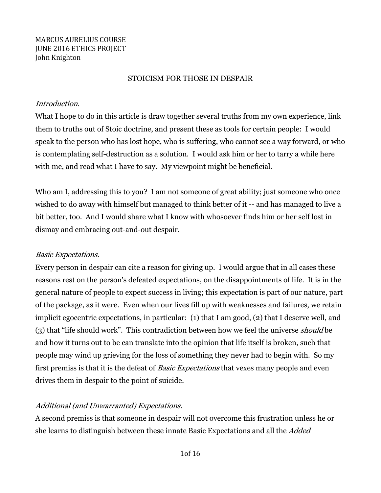### MARCUS AURELIUS COURSE **JUNE 2016 ETHICS PROJECT** John Knighton

### STOICISM FOR THOSE IN DESPAIR

### Introduction.

What I hope to do in this article is draw together several truths from my own experience, link them to truths out of Stoic doctrine, and present these as tools for certain people: I would speak to the person who has lost hope, who is suffering, who cannot see a way forward, or who is contemplating self-destruction as a solution. I would ask him or her to tarry a while here with me, and read what I have to say. My viewpoint might be beneficial.

Who am I, addressing this to you? I am not someone of great ability; just someone who once wished to do away with himself but managed to think better of it -- and has managed to live a bit better, too. And I would share what I know with whosoever finds him or her self lost in dismay and embracing out-and-out despair.

# Basic Expectations.

Every person in despair can cite a reason for giving up. I would argue that in all cases these reasons rest on the person's defeated expectations, on the disappointments of life. It is in the general nature of people to expect success in living; this expectation is part of our nature, part of the package, as it were. Even when our lives fill up with weaknesses and failures, we retain implicit egocentric expectations, in particular: (1) that I am good, (2) that I deserve well, and (3) that "life should work". This contradiction between how we feel the universe should be and how it turns out to be can translate into the opinion that life itself is broken, such that people may wind up grieving for the loss of something they never had to begin with. So my first premiss is that it is the defeat of *Basic Expectations* that vexes many people and even drives them in despair to the point of suicide.

# Additional (and Unwarranted) Expectations.

A second premiss is that someone in despair will not overcome this frustration unless he or she learns to distinguish between these innate Basic Expectations and all the Added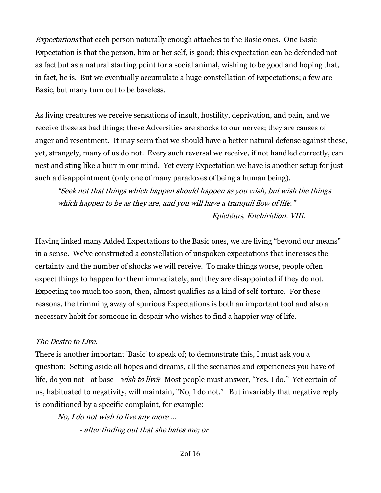Expectations that each person naturally enough attaches to the Basic ones. One Basic Expectation is that the person, him or her self, is good; this expectation can be defended not as fact but as a natural starting point for a social animal, wishing to be good and hoping that, in fact, he is. But we eventually accumulate a huge constellation of Expectations; a few are Basic, but many turn out to be baseless.

As living creatures we receive sensations of insult, hostility, deprivation, and pain, and we receive these as bad things; these Adversities are shocks to our nerves; they are causes of anger and resentment. It may seem that we should have a better natural defense against these, yet, strangely, many of us do not. Every such reversal we receive, if not handled correctly, can nest and sting like a burr in our mind. Yet every Expectation we have is another setup for just such a disappointment (only one of many paradoxes of being a human being).

"Seek not that things which happen should happen as you wish, but wish the things which happen to be as they are, and you will have a tranquil flow of life." Epictêtus, Enchiridion, VIII.

Having linked many Added Expectations to the Basic ones, we are living "beyond our means" in a sense. We've constructed a constellation of unspoken expectations that increases the certainty and the number of shocks we will receive. To make things worse, people often expect things to happen for them immediately, and they are disappointed if they do not. Expecting too much too soon, then, almost qualifies as a kind of self-torture. For these reasons, the trimming away of spurious Expectations is both an important tool and also a necessary habit for someone in despair who wishes to find a happier way of life.

#### The Desire to Live.

There is another important 'Basic' to speak of; to demonstrate this, I must ask you a question: Setting aside all hopes and dreams, all the scenarios and experiences you have of life, do you not - at base - wish to live? Most people must answer, "Yes, I do." Yet certain of us, habituated to negativity, will maintain, "No, I do not." But invariably that negative reply is conditioned by a specific complaint, for example:

No, I do not wish to live any more ...

- after finding out that she hates me; or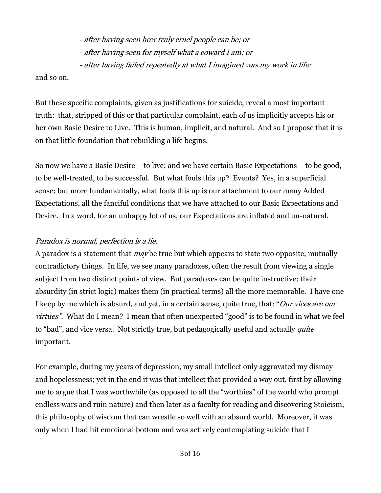- after having seen how truly cruel people can be; or - after having seen for myself what a coward I am; or - after having failed repeatedly at what I imagined was my work in life;

and so on.

But these specific complaints, given as justifications for suicide, reveal a most important truth: that, stripped of this or that particular complaint, each of us implicitly accepts his or her own Basic Desire to Live. This is human, implicit, and natural. And so I propose that it is on that little foundation that rebuilding a life begins.

So now we have a Basic Desire – to live; and we have certain Basic Expectations – to be good, to be well-treated, to be successful. But what fouls this up? Events? Yes, in a superficial sense; but more fundamentally, what fouls this up is our attachment to our many Added Expectations, all the fanciful conditions that we have attached to our Basic Expectations and Desire. In a word, for an unhappy lot of us, our Expectations are inflated and un-natural.

# Paradox is normal, perfection is a lie.

A paradox is a statement that *may* be true but which appears to state two opposite, mutually contradictory things. In life, we see many paradoxes, often the result from viewing a single subject from two distinct points of view. But paradoxes can be quite instructive; their absurdity (in strict logic) makes them (in practical terms) all the more memorable. I have one I keep by me which is absurd, and yet, in a certain sense, quite true, that: "Our vices are our virtues". What do I mean? I mean that often unexpected "good" is to be found in what we feel to "bad", and vice versa. Not strictly true, but pedagogically useful and actually *quite* important.

For example, during my years of depression, my small intellect only aggravated my dismay and hopelessness; yet in the end it was that intellect that provided a way out, first by allowing me to argue that I was worthwhile (as opposed to all the "worthies" of the world who prompt endless wars and ruin nature) and then later as a faculty for reading and discovering Stoicism, this philosophy of wisdom that can wrestle so well with an absurd world. Moreover, it was only when I had hit emotional bottom and was actively contemplating suicide that I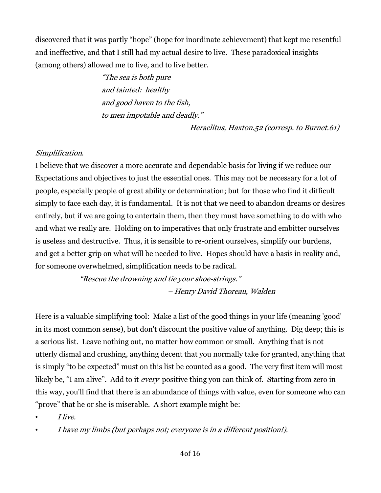discovered that it was partly "hope" (hope for inordinate achievement) that kept me resentful and ineffective, and that I still had my actual desire to live. These paradoxical insights (among others) allowed me to live, and to live better.

> "The sea is both pure and tainted: healthy and good haven to the fish, to men impotable and deadly."

> > Heraclitus, Haxton.52 (corresp. to Burnet.61)

# Simplification.

I believe that we discover a more accurate and dependable basis for living if we reduce our Expectations and objectives to just the essential ones. This may not be necessary for a lot of people, especially people of great ability or determination; but for those who find it difficult simply to face each day, it is fundamental. It is not that we need to abandon dreams or desires entirely, but if we are going to entertain them, then they must have something to do with who and what we really are. Holding on to imperatives that only frustrate and embitter ourselves is useless and destructive. Thus, it is sensible to re-orient ourselves, simplify our burdens, and get a better grip on what will be needed to live. Hopes should have a basis in reality and, for someone overwhelmed, simplification needs to be radical.

> "Rescue the drowning and tie your shoe-strings." – Henry David Thoreau, Walden

Here is a valuable simplifying tool: Make a list of the good things in your life (meaning 'good' in its most common sense), but don't discount the positive value of anything. Dig deep; this is a serious list. Leave nothing out, no matter how common or small. Anything that is not utterly dismal and crushing, anything decent that you normally take for granted, anything that is simply "to be expected" must on this list be counted as a good. The very first item will most likely be, "I am alive". Add to it *every* positive thing you can think of. Starting from zero in this way, you'll find that there is an abundance of things with value, even for someone who can "prove" that he or she is miserable. A short example might be:

- I live.
- I have my limbs (but perhaps not; everyone is in a different position!).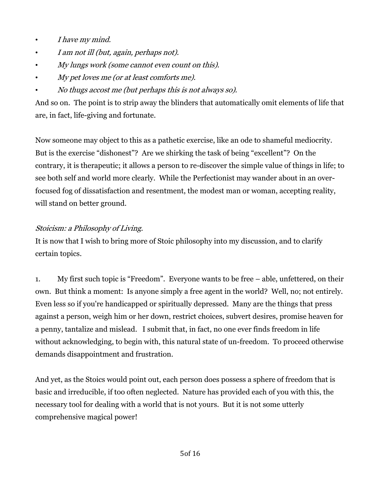- I have my mind.
- I am not ill (but, again, perhaps not).
- My lungs work (some cannot even count on this).
- My pet loves me (or at least comforts me).
- No thugs accost me (but perhaps this is not always so).

And so on. The point is to strip away the blinders that automatically omit elements of life that are, in fact, life-giving and fortunate.

Now someone may object to this as a pathetic exercise, like an ode to shameful mediocrity. But is the exercise "dishonest"? Are we shirking the task of being "excellent"? On the contrary, it is therapeutic; it allows a person to re-discover the simple value of things in life; to see both self and world more clearly. While the Perfectionist may wander about in an overfocused fog of dissatisfaction and resentment, the modest man or woman, accepting reality, will stand on better ground.

# Stoicism: a Philosophy of Living.

It is now that I wish to bring more of Stoic philosophy into my discussion, and to clarify certain topics.

1. My first such topic is "Freedom". Everyone wants to be free – able, unfettered, on their own. But think a moment: Is anyone simply a free agent in the world? Well, no; not entirely. Even less so if you're handicapped or spiritually depressed. Many are the things that press against a person, weigh him or her down, restrict choices, subvert desires, promise heaven for a penny, tantalize and mislead. I submit that, in fact, no one ever finds freedom in life without acknowledging, to begin with, this natural state of un-freedom. To proceed otherwise demands disappointment and frustration.

And yet, as the Stoics would point out, each person does possess a sphere of freedom that is basic and irreducible, if too often neglected. Nature has provided each of you with this, the necessary tool for dealing with a world that is not yours. But it is not some utterly comprehensive magical power!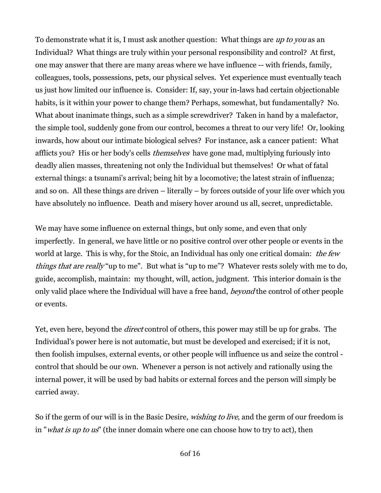To demonstrate what it is, I must ask another question: What things are up to you as an Individual? What things are truly within your personal responsibility and control? At first, one may answer that there are many areas where we have influence -- with friends, family, colleagues, tools, possessions, pets, our physical selves. Yet experience must eventually teach us just how limited our influence is. Consider: If, say, your in-laws had certain objectionable habits, is it within your power to change them? Perhaps, somewhat, but fundamentally? No. What about inanimate things, such as a simple screwdriver? Taken in hand by a malefactor, the simple tool, suddenly gone from our control, becomes a threat to our very life! Or, looking inwards, how about our intimate biological selves? For instance, ask a cancer patient: What afflicts you? His or her body's cells *themselves* have gone mad, multiplying furiously into deadly alien masses, threatening not only the Individual but themselves! Or what of fatal external things: a tsunami's arrival; being hit by a locomotive; the latest strain of influenza; and so on. All these things are driven – literally – by forces outside of your life over which you have absolutely no influence. Death and misery hover around us all, secret, unpredictable.

We may have some influence on external things, but only some, and even that only imperfectly. In general, we have little or no positive control over other people or events in the world at large. This is why, for the Stoic, an Individual has only one critical domain: the few things that are really "up to me". But what is "up to me"? Whatever rests solely with me to do, guide, accomplish, maintain: my thought, will, action, judgment. This interior domain is the only valid place where the Individual will have a free hand, *beyond* the control of other people or events.

Yet, even here, beyond the *direct* control of others, this power may still be up for grabs. The Individual's power here is not automatic, but must be developed and exercised; if it is not, then foolish impulses, external events, or other people will influence us and seize the control control that should be our own. Whenever a person is not actively and rationally using the internal power, it will be used by bad habits or external forces and the person will simply be carried away.

So if the germ of our will is in the Basic Desire, *wishing to live*, and the germ of our freedom is in "*what is up to us*" (the inner domain where one can choose how to try to act), then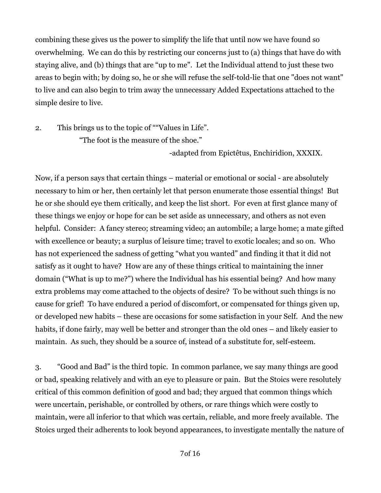combining these gives us the power to simplify the life that until now we have found so overwhelming. We can do this by restricting our concerns just to (a) things that have do with staying alive, and (b) things that are "up to me". Let the Individual attend to just these two areas to begin with; by doing so, he or she will refuse the self-told-lie that one "does not want" to live and can also begin to trim away the unnecessary Added Expectations attached to the simple desire to live.

2. This brings us to the topic of ""Values in Life". "The foot is the measure of the shoe."

-adapted from Epictêtus, Enchiridion, XXXIX.

Now, if a person says that certain things – material or emotional or social - are absolutely necessary to him or her, then certainly let that person enumerate those essential things! But he or she should eye them critically, and keep the list short. For even at first glance many of these things we enjoy or hope for can be set aside as unnecessary, and others as not even helpful. Consider: A fancy stereo; streaming video; an autombile; a large home; a mate gifted with excellence or beauty; a surplus of leisure time; travel to exotic locales; and so on. Who has not experienced the sadness of getting "what you wanted" and finding it that it did not satisfy as it ought to have? How are any of these things critical to maintaining the inner domain ("What is up to me?") where the Individual has his essential being? And how many extra problems may come attached to the objects of desire? To be without such things is no cause for grief! To have endured a period of discomfort, or compensated for things given up, or developed new habits – these are occasions for some satisfaction in your Self. And the new habits, if done fairly, may well be better and stronger than the old ones – and likely easier to maintain. As such, they should be a source of, instead of a substitute for, self-esteem.

3. "Good and Bad" is the third topic. In common parlance, we say many things are good or bad, speaking relatively and with an eye to pleasure or pain. But the Stoics were resolutely critical of this common definition of good and bad; they argued that common things which were uncertain, perishable, or controlled by others, or rare things which were costly to maintain, were all inferior to that which was certain, reliable, and more freely available. The Stoics urged their adherents to look beyond appearances, to investigate mentally the nature of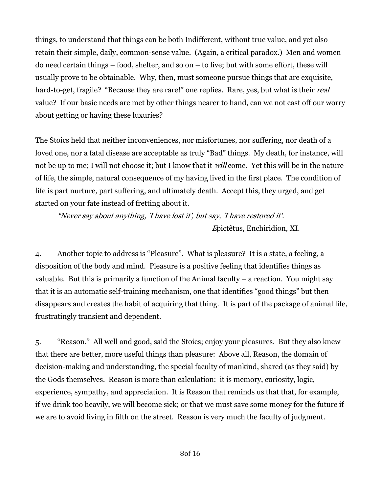things, to understand that things can be both Indifferent, without true value, and yet also retain their simple, daily, common-sense value. (Again, a critical paradox.) Men and women do need certain things – food, shelter, and so on – to live; but with some effort, these will usually prove to be obtainable. Why, then, must someone pursue things that are exquisite, hard-to-get, fragile? "Because they are rare!" one replies. Rare, yes, but what is their *real* value? If our basic needs are met by other things nearer to hand, can we not cast off our worry about getting or having these luxuries?

The Stoics held that neither inconveniences, nor misfortunes, nor suffering, nor death of a loved one, nor a fatal disease are acceptable as truly "Bad" things. My death, for instance, will not be up to me; I will not choose it; but I know that it *will* come. Yet this will be in the nature of life, the simple, natural consequence of my having lived in the first place. The condition of life is part nurture, part suffering, and ultimately death. Accept this, they urged, and get started on your fate instead of fretting about it.

"Never say about anything, 'I have lost it', but say, 'I have restored it'. <sup>E</sup>pictêtus, Enchiridion, XI.

4. Another topic to address is "Pleasure". What is pleasure? It is a state, a feeling, a disposition of the body and mind. Pleasure is a positive feeling that identifies things as valuable. But this is primarily a function of the Animal faculty – a reaction. You might say that it is an automatic self-training mechanism, one that identifies "good things" but then disappears and creates the habit of acquiring that thing. It is part of the package of animal life, frustratingly transient and dependent.

5. "Reason." All well and good, said the Stoics; enjoy your pleasures. But they also knew that there are better, more useful things than pleasure: Above all, Reason, the domain of decision-making and understanding, the special faculty of mankind, shared (as they said) by the Gods themselves. Reason is more than calculation: it is memory, curiosity, logic, experience, sympathy, and appreciation. It is Reason that reminds us that that, for example, if we drink too heavily, we will become sick; or that we must save some money for the future if we are to avoid living in filth on the street. Reason is very much the faculty of judgment.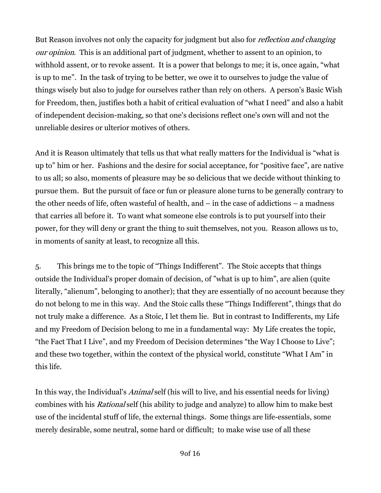But Reason involves not only the capacity for judgment but also for *reflection and changing* our opinion. This is an additional part of judgment, whether to assent to an opinion, to withhold assent, or to revoke assent. It is a power that belongs to me; it is, once again, "what is up to me". In the task of trying to be better, we owe it to ourselves to judge the value of things wisely but also to judge for ourselves rather than rely on others. A person's Basic Wish for Freedom, then, justifies both a habit of critical evaluation of "what I need" and also a habit of independent decision-making, so that one's decisions reflect one's own will and not the unreliable desires or ulterior motives of others.

And it is Reason ultimately that tells us that what really matters for the Individual is "what is up to" him or her. Fashions and the desire for social acceptance, for "positive face", are native to us all; so also, moments of pleasure may be so delicious that we decide without thinking to pursue them. But the pursuit of face or fun or pleasure alone turns to be generally contrary to the other needs of life, often wasteful of health, and – in the case of addictions – a madness that carries all before it. To want what someone else controls is to put yourself into their power, for they will deny or grant the thing to suit themselves, not you. Reason allows us to, in moments of sanity at least, to recognize all this.

5. This brings me to the topic of "Things Indifferent". The Stoic accepts that things outside the Individual's proper domain of decision, of "what is up to him", are alien (quite literally, "alienum", belonging to another); that they are essentially of no account because they do not belong to me in this way. And the Stoic calls these "Things Indifferent", things that do not truly make a difference. As a Stoic, I let them lie. But in contrast to Indifferents, my Life and my Freedom of Decision belong to me in a fundamental way: My Life creates the topic, "the Fact That I Live", and my Freedom of Decision determines "the Way I Choose to Live"; and these two together, within the context of the physical world, constitute "What I Am" in this life.

In this way, the Individual's Animal self (his will to live, and his essential needs for living) combines with his Rational self (his ability to judge and analyze) to allow him to make best use of the incidental stuff of life, the external things. Some things are life-essentials, some merely desirable, some neutral, some hard or difficult; to make wise use of all these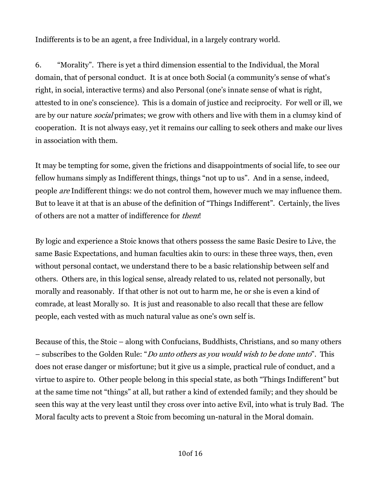Indifferents is to be an agent, a free Individual, in a largely contrary world.

6. "Morality". There is yet a third dimension essential to the Individual, the Moral domain, that of personal conduct. It is at once both Social (a community's sense of what's right, in social, interactive terms) and also Personal (one's innate sense of what is right, attested to in one's conscience). This is a domain of justice and reciprocity. For well or ill, we are by our nature *social* primates; we grow with others and live with them in a clumsy kind of cooperation. It is not always easy, yet it remains our calling to seek others and make our lives in association with them.

It may be tempting for some, given the frictions and disappointments of social life, to see our fellow humans simply as Indifferent things, things "not up to us". And in a sense, indeed, people are Indifferent things: we do not control them, however much we may influence them. But to leave it at that is an abuse of the definition of "Things Indifferent". Certainly, the lives of others are not a matter of indifference for them!

By logic and experience a Stoic knows that others possess the same Basic Desire to Live, the same Basic Expectations, and human faculties akin to ours: in these three ways, then, even without personal contact, we understand there to be a basic relationship between self and others. Others are, in this logical sense, already related to us, related not personally, but morally and reasonably. If that other is not out to harm me, he or she is even a kind of comrade, at least Morally so. It is just and reasonable to also recall that these are fellow people, each vested with as much natural value as one's own self is.

Because of this, the Stoic – along with Confucians, Buddhists, Christians, and so many others – subscribes to the Golden Rule: "Do unto others as you would wish to be done unto". This does not erase danger or misfortune; but it give us a simple, practical rule of conduct, and a virtue to aspire to. Other people belong in this special state, as both "Things Indifferent" but at the same time not "things" at all, but rather a kind of extended family; and they should be seen this way at the very least until they cross over into active Evil, into what is truly Bad. The Moral faculty acts to prevent a Stoic from becoming un-natural in the Moral domain.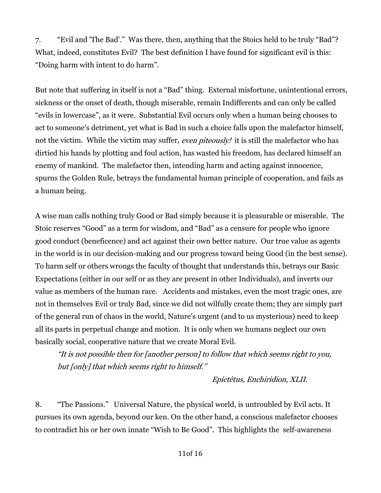7. "Evil and 'The Bad'." Was there, then, anything that the Stoics held to be truly "Bad"? What, indeed, constitutes Evil? The best definition I have found for significant evil is this: "Doing harm with intent to do harm".

But note that suffering in itself is not a "Bad" thing. External misfortune, unintentional errors, sickness or the onset of death, though miserable, remain Indifferents and can only be called "evils in lowercase", as it were. Substantial Evil occurs only when a human being chooses to act to someone's detriment, yet what is Bad in such a choice falls upon the malefactor himself, not the victim. While the victim may suffer, even piteously! it is still the malefactor who has dirtied his hands by plotting and foul action, has wasted his freedom, has declared himself an enemy of mankind. The malefactor then, intending harm and acting against innocence, spurns the Golden Rule, betrays the fundamental human principle of cooperation, and fails as a human being.

A wise man calls nothing truly Good or Bad simply because it is pleasurable or miserable. The Stoic reserves "Good" as a term for wisdom, and "Bad" as a censure for people who ignore good conduct (beneficence) and act against their own better nature. Our true value as agents in the world is in our decision-making and our progress toward being Good (in the best sense). To harm self or others wrongs the faculty of thought that understands this, betrays our Basic Expectations (either in our self or as they are present in other Individuals), and inverts our value as members of the human race. Accidents and mistakes, even the most tragic ones, are not in themselves Evil or truly Bad, since we did not wilfully create them; they are simply part of the general run of chaos in the world, Nature's urgent (and to us mysterious) need to keep all its parts in perpetual change and motion. It is only when we humans neglect our own basically social, cooperative nature that we create Moral Evil.

"It is not possible then for [another person] to follow that which seems right to you, but [only] that which seems right to himself."

Epictêtus, Enchiridion, XLII.

8. "The Passions." Universal Nature, the physical world, is untroubled by Evil acts. It pursues its own agenda, beyond our ken. On the other hand, a conscious malefactor chooses to contradict his or her own innate "Wish to Be Good". This highlights the self-awareness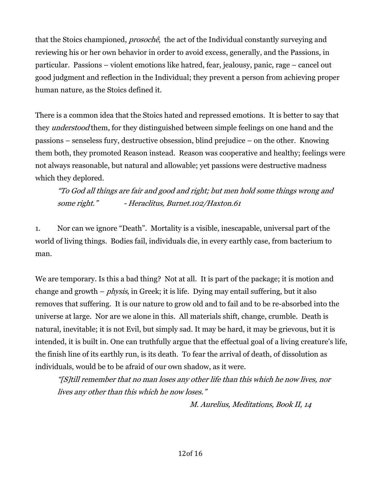that the Stoics championed, prosochê, the act of the Individual constantly surveying and reviewing his or her own behavior in order to avoid excess, generally, and the Passions, in particular. Passions – violent emotions like hatred, fear, jealousy, panic, rage – cancel out good judgment and reflection in the Individual; they prevent a person from achieving proper human nature, as the Stoics defined it.

There is a common idea that the Stoics hated and repressed emotions. It is better to say that they *understood* them, for they distinguished between simple feelings on one hand and the passions – senseless fury, destructive obsession, blind prejudice – on the other. Knowing them both, they promoted Reason instead. Reason was cooperative and healthy; feelings were not always reasonable, but natural and allowable; yet passions were destructive madness which they deplored.

"To God all things are fair and good and right; but men hold some things wrong and some right." - Heraclitus, Burnet.102/Haxton.61

1. Nor can we ignore "Death". Mortality is a visible, inescapable, universal part of the world of living things. Bodies fail, individuals die, in every earthly case, from bacterium to man.

We are temporary. Is this a bad thing? Not at all. It is part of the package; it is motion and change and growth  $-\rho h$ *ysis*, in Greek; it is life. Dying may entail suffering, but it also removes that suffering. It is our nature to grow old and to fail and to be re-absorbed into the universe at large. Nor are we alone in this. All materials shift, change, crumble. Death is natural, inevitable; it is not Evil, but simply sad. It may be hard, it may be grievous, but it is intended, it is built in. One can truthfully argue that the effectual goal of a living creature's life, the finish line of its earthly run, is its death. To fear the arrival of death, of dissolution as individuals, would be to be afraid of our own shadow, as it were.

"[S]till remember that no man loses any other life than this which he now lives, nor lives any other than this which he now loses."

M. Aurelius, Meditations, Book II, 14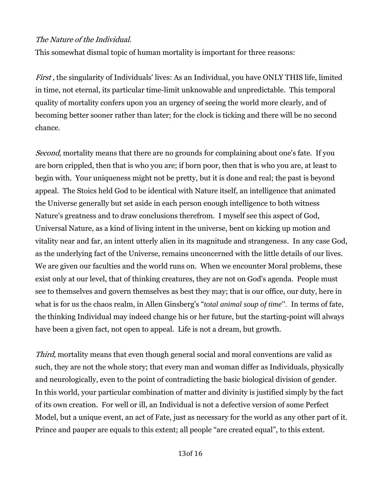# The Nature of the Individual.

This somewhat dismal topic of human mortality is important for three reasons:

First, the singularity of Individuals' lives: As an Individual, you have ONLY THIS life, limited in time, not eternal, its particular time-limit unknowable and unpredictable. This temporal quality of mortality confers upon you an urgency of seeing the world more clearly, and of becoming better sooner rather than later; for the clock is ticking and there will be no second chance.

Second, mortality means that there are no grounds for complaining about one's fate. If you are born crippled, then that is who you are; if born poor, then that is who you are, at least to begin with. Your uniqueness might not be pretty, but it is done and real; the past is beyond appeal. The Stoics held God to be identical with Nature itself, an intelligence that animated the Universe generally but set aside in each person enough intelligence to both witness Nature's greatness and to draw conclusions therefrom. I myself see this aspect of God, Universal Nature, as a kind of living intent in the universe, bent on kicking up motion and vitality near and far, an intent utterly alien in its magnitude and strangeness. In any case God, as the underlying fact of the Universe, remains unconcerned with the little details of our lives. We are given our faculties and the world runs on. When we encounter Moral problems, these exist only at our level, that of thinking creatures, they are not on God's agenda. People must see to themselves and govern themselves as best they may; that is our office, our duty, here in what is for us the chaos realm, in Allen Ginsberg's "*total animal soup of time*". In terms of fate, the thinking Individual may indeed change his or her future, but the starting-point will always have been a given fact, not open to appeal. Life is not a dream, but growth.

Third, mortality means that even though general social and moral conventions are valid as such, they are not the whole story; that every man and woman differ as Individuals, physically and neurologically, even to the point of contradicting the basic biological division of gender. In this world, your particular combination of matter and divinity is justified simply by the fact of its own creation. For well or ill, an Individual is not a defective version of some Perfect Model, but a unique event, an act of Fate, just as necessary for the world as any other part of it. Prince and pauper are equals to this extent; all people "are created equal", to this extent.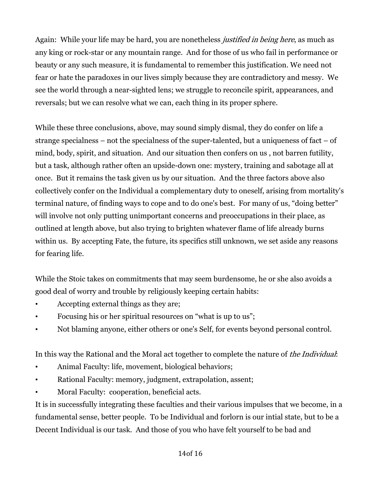Again: While your life may be hard, you are nonetheless *justified in being here*, as much as any king or rock-star or any mountain range. And for those of us who fail in performance or beauty or any such measure, it is fundamental to remember this justification. We need not fear or hate the paradoxes in our lives simply because they are contradictory and messy. We see the world through a near-sighted lens; we struggle to reconcile spirit, appearances, and reversals; but we can resolve what we can, each thing in its proper sphere.

While these three conclusions, above, may sound simply dismal, they do confer on life a strange specialness – not the specialness of the super-talented, but a uniqueness of fact – of mind, body, spirit, and situation. And our situation then confers on us , not barren futility, but a task, although rather often an upside-down one: mystery, training and sabotage all at once. But it remains the task given us by our situation. And the three factors above also collectively confer on the Individual a complementary duty to oneself, arising from mortality's terminal nature, of finding ways to cope and to do one's best. For many of us, "doing better" will involve not only putting unimportant concerns and preoccupations in their place, as outlined at length above, but also trying to brighten whatever flame of life already burns within us. By accepting Fate, the future, its specifics still unknown, we set aside any reasons for fearing life.

While the Stoic takes on commitments that may seem burdensome, he or she also avoids a good deal of worry and trouble by religiously keeping certain habits:

- Accepting external things as they are;
- Focusing his or her spiritual resources on "what is up to us";
- Not blaming anyone, either others or one's Self, for events beyond personal control.

In this way the Rational and the Moral act together to complete the nature of the Individual:

- Animal Faculty: life, movement, biological behaviors;
- Rational Faculty: memory, judgment, extrapolation, assent;
- Moral Faculty: cooperation, beneficial acts.

It is in successfully integrating these faculties and their various impulses that we become, in a fundamental sense, better people. To be Individual and forlorn is our intial state, but to be a Decent Individual is our task. And those of you who have felt yourself to be bad and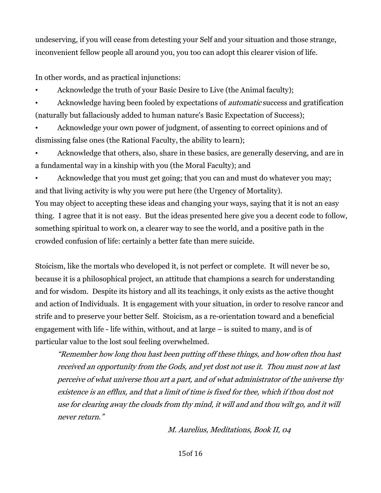undeserving, if you will cease from detesting your Self and your situation and those strange, inconvenient fellow people all around you, you too can adopt this clearer vision of life.

In other words, and as practical injunctions:

- Acknowledge the truth of your Basic Desire to Live (the Animal faculty);
- Acknowledge having been fooled by expectations of *automatic* success and gratification (naturally but fallaciously added to human nature's Basic Expectation of Success);

• Acknowledge your own power of judgment, of assenting to correct opinions and of dismissing false ones (the Rational Faculty, the ability to learn);

• Acknowledge that others, also, share in these basics, are generally deserving, and are in a fundamental way in a kinship with you (the Moral Faculty); and

Acknowledge that you must get going; that you can and must do whatever you may; and that living activity is why you were put here (the Urgency of Mortality). You may object to accepting these ideas and changing your ways, saying that it is not an easy thing. I agree that it is not easy. But the ideas presented here give you a decent code to follow, something spiritual to work on, a clearer way to see the world, and a positive path in the

crowded confusion of life: certainly a better fate than mere suicide.

Stoicism, like the mortals who developed it, is not perfect or complete. It will never be so, because it is a philosophical project, an attitude that champions a search for understanding and for wisdom. Despite its history and all its teachings, it only exists as the active thought and action of Individuals. It is engagement with your situation, in order to resolve rancor and strife and to preserve your better Self. Stoicism, as a re-orientation toward and a beneficial engagement with life - life within, without, and at large – is suited to many, and is of particular value to the lost soul feeling overwhelmed.

"Remember how long thou hast been putting off these things, and how often thou hast received an opportunity from the Gods, and yet dost not use it. Thou must now at last perceive of what universe thou art a part, and of what administrator of the universe thy existence is an efflux, and that a limit of time is fixed for thee, which if thou dost not use for clearing away the clouds from thy mind, it will and and thou wilt go, and it will never return."

M. Aurelius, Meditations, Book II, 04